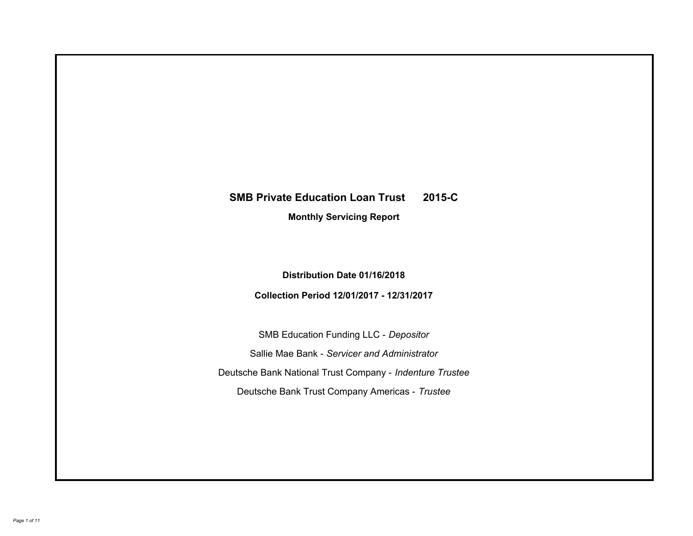# **SMB Private Education Loan Trust 2015-C Monthly Servicing Report**

# **Distribution Date 01/16/2018**

# **Collection Period 12/01/2017 - 12/31/2017**

SMB Education Funding LLC - *Depositor* Sallie Mae Bank - *Servicer and Administrator* Deutsche Bank National Trust Company - *Indenture Trustee* Deutsche Bank Trust Company Americas - *Trustee*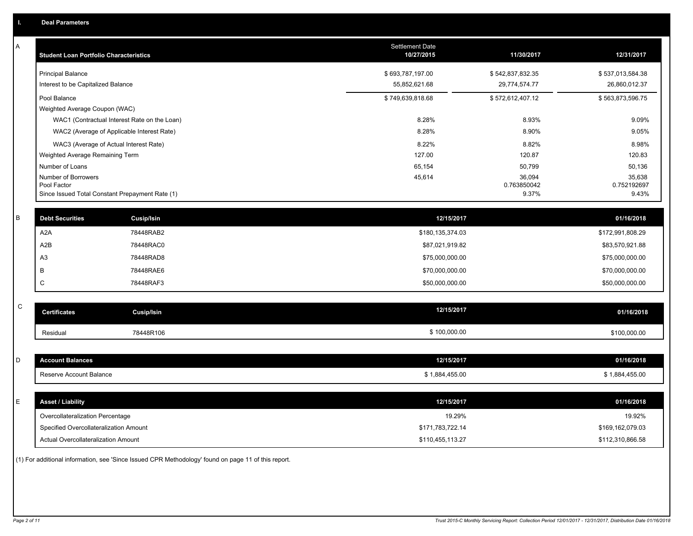| A            | <b>Student Loan Portfolio Characteristics</b>   |                                              | Settlement Date<br>10/27/2015 | 11/30/2017       | 12/31/2017       |
|--------------|-------------------------------------------------|----------------------------------------------|-------------------------------|------------------|------------------|
|              | <b>Principal Balance</b>                        |                                              | \$693,787,197.00              | \$542,837,832.35 | \$537,013,584.38 |
|              | Interest to be Capitalized Balance              |                                              | 55,852,621.68                 | 29,774,574.77    | 26,860,012.37    |
|              | Pool Balance                                    |                                              | \$749,639,818.68              | \$572,612,407.12 | \$563,873,596.75 |
|              | Weighted Average Coupon (WAC)                   |                                              |                               |                  |                  |
|              |                                                 | WAC1 (Contractual Interest Rate on the Loan) | 8.28%                         | 8.93%            | 9.09%            |
|              |                                                 | WAC2 (Average of Applicable Interest Rate)   | 8.28%                         | 8.90%            | 9.05%            |
|              | WAC3 (Average of Actual Interest Rate)          |                                              | 8.22%                         | 8.82%            | 8.98%            |
|              | Weighted Average Remaining Term                 |                                              | 127.00                        | 120.87           | 120.83           |
|              | Number of Loans<br>Number of Borrowers          |                                              | 65,154<br>45,614              | 50,799<br>36,094 | 50,136<br>35,638 |
|              | Pool Factor                                     |                                              |                               | 0.763850042      | 0.752192697      |
|              | Since Issued Total Constant Prepayment Rate (1) |                                              |                               | 9.37%            | 9.43%            |
| $\sf B$      | <b>Debt Securities</b>                          | Cusip/Isin                                   | 12/15/2017                    |                  | 01/16/2018       |
|              | A <sub>2</sub> A                                | 78448RAB2                                    | \$180,135,374.03              |                  | \$172,991,808.29 |
|              | A <sub>2</sub> B                                | 78448RAC0                                    | \$87,021,919.82               |                  | \$83,570,921.88  |
|              |                                                 |                                              |                               |                  |                  |
|              | A <sub>3</sub>                                  | 78448RAD8                                    | \$75,000,000.00               |                  | \$75,000,000.00  |
|              | В                                               | 78448RAE6                                    | \$70,000,000.00               |                  | \$70,000,000.00  |
|              | C                                               | 78448RAF3                                    | \$50,000,000.00               |                  | \$50,000,000.00  |
| $\mathsf{C}$ |                                                 |                                              | 12/15/2017                    |                  |                  |
|              | <b>Certificates</b>                             | <b>Cusip/Isin</b>                            |                               |                  | 01/16/2018       |
|              | Residual                                        | 78448R106                                    | \$100,000.00                  |                  | \$100,000.00     |
|              |                                                 |                                              |                               |                  |                  |
| D            | <b>Account Balances</b>                         |                                              | 12/15/2017                    |                  | 01/16/2018       |
|              | Reserve Account Balance                         |                                              | \$1,884,455.00                |                  | \$1,884,455.00   |
|              |                                                 |                                              |                               |                  |                  |
| Ε            | <b>Asset / Liability</b>                        |                                              | 12/15/2017                    |                  | 01/16/2018       |
|              | Overcollateralization Percentage                |                                              | 19.29%                        |                  | 19.92%           |
|              | Specified Overcollateralization Amount          |                                              | \$171,783,722.14              |                  | \$169,162,079.03 |
|              | Actual Overcollateralization Amount             |                                              | \$110,455,113.27              |                  | \$112,310,866.58 |

(1) For additional information, see 'Since Issued CPR Methodology' found on page 11 of this report.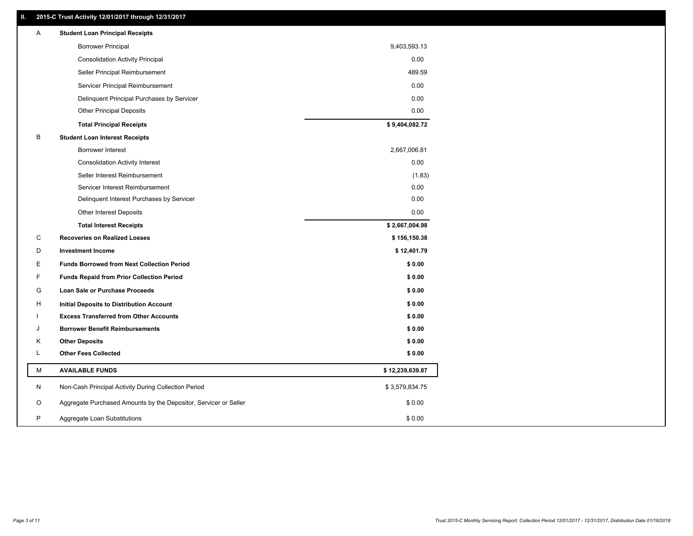### **II. 2015-C Trust Activity 12/01/2017 through 12/31/2017**

| <b>Borrower Principal</b><br>9,403,593.13<br><b>Consolidation Activity Principal</b><br>0.00<br>Seller Principal Reimbursement<br>489.59<br>Servicer Principal Reimbursement<br>0.00<br>0.00<br>Delinquent Principal Purchases by Servicer<br>0.00<br><b>Other Principal Deposits</b><br>\$9,404,082.72<br><b>Total Principal Receipts</b><br>B<br><b>Student Loan Interest Receipts</b><br>Borrower Interest<br>2,667,006.81<br>0.00<br><b>Consolidation Activity Interest</b><br>Seller Interest Reimbursement<br>(1.83)<br>0.00<br>Servicer Interest Reimbursement<br>0.00<br>Delinquent Interest Purchases by Servicer<br>0.00<br><b>Other Interest Deposits</b><br>\$2,667,004.98<br><b>Total Interest Receipts</b><br>C<br><b>Recoveries on Realized Losses</b><br>\$156,150.38<br>D<br><b>Investment Income</b><br>\$12,401.79<br>Е<br><b>Funds Borrowed from Next Collection Period</b><br>\$0.00<br>F<br>\$0.00<br><b>Funds Repaid from Prior Collection Period</b><br>G<br>\$0.00<br>Loan Sale or Purchase Proceeds<br>\$0.00<br>н<br>Initial Deposits to Distribution Account<br><b>Excess Transferred from Other Accounts</b><br>\$0.00<br><b>Borrower Benefit Reimbursements</b><br>\$0.00<br>J<br>\$0.00<br>Κ<br><b>Other Deposits</b><br><b>Other Fees Collected</b><br>L<br>\$0.00<br>М<br><b>AVAILABLE FUNDS</b><br>\$12,239,639.87<br>N<br>Non-Cash Principal Activity During Collection Period<br>\$3,579,834.75<br>O<br>Aggregate Purchased Amounts by the Depositor, Servicer or Seller<br>\$0.00<br>P<br>Aggregate Loan Substitutions<br>\$0.00 | Α | <b>Student Loan Principal Receipts</b> |  |
|-----------------------------------------------------------------------------------------------------------------------------------------------------------------------------------------------------------------------------------------------------------------------------------------------------------------------------------------------------------------------------------------------------------------------------------------------------------------------------------------------------------------------------------------------------------------------------------------------------------------------------------------------------------------------------------------------------------------------------------------------------------------------------------------------------------------------------------------------------------------------------------------------------------------------------------------------------------------------------------------------------------------------------------------------------------------------------------------------------------------------------------------------------------------------------------------------------------------------------------------------------------------------------------------------------------------------------------------------------------------------------------------------------------------------------------------------------------------------------------------------------------------------------------------------------------------------|---|----------------------------------------|--|
|                                                                                                                                                                                                                                                                                                                                                                                                                                                                                                                                                                                                                                                                                                                                                                                                                                                                                                                                                                                                                                                                                                                                                                                                                                                                                                                                                                                                                                                                                                                                                                       |   |                                        |  |
|                                                                                                                                                                                                                                                                                                                                                                                                                                                                                                                                                                                                                                                                                                                                                                                                                                                                                                                                                                                                                                                                                                                                                                                                                                                                                                                                                                                                                                                                                                                                                                       |   |                                        |  |
|                                                                                                                                                                                                                                                                                                                                                                                                                                                                                                                                                                                                                                                                                                                                                                                                                                                                                                                                                                                                                                                                                                                                                                                                                                                                                                                                                                                                                                                                                                                                                                       |   |                                        |  |
|                                                                                                                                                                                                                                                                                                                                                                                                                                                                                                                                                                                                                                                                                                                                                                                                                                                                                                                                                                                                                                                                                                                                                                                                                                                                                                                                                                                                                                                                                                                                                                       |   |                                        |  |
|                                                                                                                                                                                                                                                                                                                                                                                                                                                                                                                                                                                                                                                                                                                                                                                                                                                                                                                                                                                                                                                                                                                                                                                                                                                                                                                                                                                                                                                                                                                                                                       |   |                                        |  |
|                                                                                                                                                                                                                                                                                                                                                                                                                                                                                                                                                                                                                                                                                                                                                                                                                                                                                                                                                                                                                                                                                                                                                                                                                                                                                                                                                                                                                                                                                                                                                                       |   |                                        |  |
|                                                                                                                                                                                                                                                                                                                                                                                                                                                                                                                                                                                                                                                                                                                                                                                                                                                                                                                                                                                                                                                                                                                                                                                                                                                                                                                                                                                                                                                                                                                                                                       |   |                                        |  |
|                                                                                                                                                                                                                                                                                                                                                                                                                                                                                                                                                                                                                                                                                                                                                                                                                                                                                                                                                                                                                                                                                                                                                                                                                                                                                                                                                                                                                                                                                                                                                                       |   |                                        |  |
|                                                                                                                                                                                                                                                                                                                                                                                                                                                                                                                                                                                                                                                                                                                                                                                                                                                                                                                                                                                                                                                                                                                                                                                                                                                                                                                                                                                                                                                                                                                                                                       |   |                                        |  |
|                                                                                                                                                                                                                                                                                                                                                                                                                                                                                                                                                                                                                                                                                                                                                                                                                                                                                                                                                                                                                                                                                                                                                                                                                                                                                                                                                                                                                                                                                                                                                                       |   |                                        |  |
|                                                                                                                                                                                                                                                                                                                                                                                                                                                                                                                                                                                                                                                                                                                                                                                                                                                                                                                                                                                                                                                                                                                                                                                                                                                                                                                                                                                                                                                                                                                                                                       |   |                                        |  |
|                                                                                                                                                                                                                                                                                                                                                                                                                                                                                                                                                                                                                                                                                                                                                                                                                                                                                                                                                                                                                                                                                                                                                                                                                                                                                                                                                                                                                                                                                                                                                                       |   |                                        |  |
|                                                                                                                                                                                                                                                                                                                                                                                                                                                                                                                                                                                                                                                                                                                                                                                                                                                                                                                                                                                                                                                                                                                                                                                                                                                                                                                                                                                                                                                                                                                                                                       |   |                                        |  |
|                                                                                                                                                                                                                                                                                                                                                                                                                                                                                                                                                                                                                                                                                                                                                                                                                                                                                                                                                                                                                                                                                                                                                                                                                                                                                                                                                                                                                                                                                                                                                                       |   |                                        |  |
|                                                                                                                                                                                                                                                                                                                                                                                                                                                                                                                                                                                                                                                                                                                                                                                                                                                                                                                                                                                                                                                                                                                                                                                                                                                                                                                                                                                                                                                                                                                                                                       |   |                                        |  |
|                                                                                                                                                                                                                                                                                                                                                                                                                                                                                                                                                                                                                                                                                                                                                                                                                                                                                                                                                                                                                                                                                                                                                                                                                                                                                                                                                                                                                                                                                                                                                                       |   |                                        |  |
|                                                                                                                                                                                                                                                                                                                                                                                                                                                                                                                                                                                                                                                                                                                                                                                                                                                                                                                                                                                                                                                                                                                                                                                                                                                                                                                                                                                                                                                                                                                                                                       |   |                                        |  |
|                                                                                                                                                                                                                                                                                                                                                                                                                                                                                                                                                                                                                                                                                                                                                                                                                                                                                                                                                                                                                                                                                                                                                                                                                                                                                                                                                                                                                                                                                                                                                                       |   |                                        |  |
|                                                                                                                                                                                                                                                                                                                                                                                                                                                                                                                                                                                                                                                                                                                                                                                                                                                                                                                                                                                                                                                                                                                                                                                                                                                                                                                                                                                                                                                                                                                                                                       |   |                                        |  |
|                                                                                                                                                                                                                                                                                                                                                                                                                                                                                                                                                                                                                                                                                                                                                                                                                                                                                                                                                                                                                                                                                                                                                                                                                                                                                                                                                                                                                                                                                                                                                                       |   |                                        |  |
|                                                                                                                                                                                                                                                                                                                                                                                                                                                                                                                                                                                                                                                                                                                                                                                                                                                                                                                                                                                                                                                                                                                                                                                                                                                                                                                                                                                                                                                                                                                                                                       |   |                                        |  |
|                                                                                                                                                                                                                                                                                                                                                                                                                                                                                                                                                                                                                                                                                                                                                                                                                                                                                                                                                                                                                                                                                                                                                                                                                                                                                                                                                                                                                                                                                                                                                                       |   |                                        |  |
|                                                                                                                                                                                                                                                                                                                                                                                                                                                                                                                                                                                                                                                                                                                                                                                                                                                                                                                                                                                                                                                                                                                                                                                                                                                                                                                                                                                                                                                                                                                                                                       |   |                                        |  |
|                                                                                                                                                                                                                                                                                                                                                                                                                                                                                                                                                                                                                                                                                                                                                                                                                                                                                                                                                                                                                                                                                                                                                                                                                                                                                                                                                                                                                                                                                                                                                                       |   |                                        |  |
|                                                                                                                                                                                                                                                                                                                                                                                                                                                                                                                                                                                                                                                                                                                                                                                                                                                                                                                                                                                                                                                                                                                                                                                                                                                                                                                                                                                                                                                                                                                                                                       |   |                                        |  |
|                                                                                                                                                                                                                                                                                                                                                                                                                                                                                                                                                                                                                                                                                                                                                                                                                                                                                                                                                                                                                                                                                                                                                                                                                                                                                                                                                                                                                                                                                                                                                                       |   |                                        |  |
|                                                                                                                                                                                                                                                                                                                                                                                                                                                                                                                                                                                                                                                                                                                                                                                                                                                                                                                                                                                                                                                                                                                                                                                                                                                                                                                                                                                                                                                                                                                                                                       |   |                                        |  |
|                                                                                                                                                                                                                                                                                                                                                                                                                                                                                                                                                                                                                                                                                                                                                                                                                                                                                                                                                                                                                                                                                                                                                                                                                                                                                                                                                                                                                                                                                                                                                                       |   |                                        |  |
|                                                                                                                                                                                                                                                                                                                                                                                                                                                                                                                                                                                                                                                                                                                                                                                                                                                                                                                                                                                                                                                                                                                                                                                                                                                                                                                                                                                                                                                                                                                                                                       |   |                                        |  |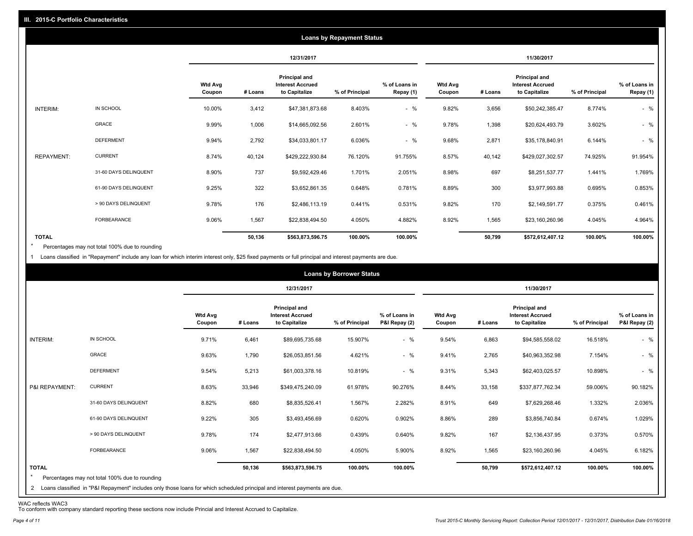|                   |                       |                          |            |                                                           | <b>Loans by Repayment Status</b> |                            |                          |         |                                                           |                |                            |
|-------------------|-----------------------|--------------------------|------------|-----------------------------------------------------------|----------------------------------|----------------------------|--------------------------|---------|-----------------------------------------------------------|----------------|----------------------------|
|                   |                       |                          | 12/31/2017 |                                                           |                                  |                            | 11/30/2017               |         |                                                           |                |                            |
|                   |                       | <b>Wtd Avg</b><br>Coupon | # Loans    | Principal and<br><b>Interest Accrued</b><br>to Capitalize | % of Principal                   | % of Loans in<br>Repay (1) | <b>Wtd Avg</b><br>Coupon | # Loans | Principal and<br><b>Interest Accrued</b><br>to Capitalize | % of Principal | % of Loans in<br>Repay (1) |
| INTERIM:          | IN SCHOOL             | 10.00%                   | 3,412      | \$47,381,873.68                                           | 8.403%                           | $-$ %                      | 9.82%                    | 3,656   | \$50,242,385.47                                           | 8.774%         | $-$ %                      |
|                   | GRACE                 | 9.99%                    | 1,006      | \$14,665,092.56                                           | 2.601%                           | $-$ %                      | 9.78%                    | 1,398   | \$20,624,493.79                                           | 3.602%         | $-$ %                      |
|                   | <b>DEFERMENT</b>      | 9.94%                    | 2,792      | \$34,033,801.17                                           | 6.036%                           | $-$ %                      | 9.68%                    | 2,871   | \$35,178,840.91                                           | 6.144%         | $-$ %                      |
| <b>REPAYMENT:</b> | <b>CURRENT</b>        | 8.74%                    | 40,124     | \$429,222,930.84                                          | 76.120%                          | 91.755%                    | 8.57%                    | 40,142  | \$429,027,302.57                                          | 74.925%        | 91.954%                    |
|                   | 31-60 DAYS DELINQUENT | 8.90%                    | 737        | \$9,592,429.46                                            | 1.701%                           | 2.051%                     | 8.98%                    | 697     | \$8,251,537.77                                            | 1.441%         | 1.769%                     |
|                   | 61-90 DAYS DELINQUENT | 9.25%                    | 322        | \$3,652,861.35                                            | 0.648%                           | 0.781%                     | 8.89%                    | 300     | \$3,977,993.88                                            | 0.695%         | 0.853%                     |
|                   | > 90 DAYS DELINQUENT  | 9.78%                    | 176        | \$2,486,113.19                                            | 0.441%                           | 0.531%                     | 9.82%                    | 170     | \$2,149,591.77                                            | 0.375%         | 0.461%                     |
|                   | FORBEARANCE           | 9.06%                    | 1,567      | \$22,838,494.50                                           | 4.050%                           | 4.882%                     | 8.92%                    | 1,565   | \$23,160,260.96                                           | 4.045%         | 4.964%                     |
| <b>TOTAL</b>      |                       |                          | 50,136     | \$563,873,596.75                                          | 100.00%                          | 100.00%                    |                          | 50,799  | \$572,612,407.12                                          | 100.00%        | 100.00%                    |

Percentages may not total 100% due to rounding \*

1 Loans classified in "Repayment" include any loan for which interim interest only, \$25 fixed payments or full principal and interest payments are due.

| 12/31/2017<br>11/30/2017<br>Principal and<br>Principal and<br><b>Wtd Avg</b><br>% of Loans in<br><b>Wtd Avg</b><br><b>Interest Accrued</b><br><b>Interest Accrued</b><br>% of Principal<br>P&I Repay (2)<br># Loans<br>to Capitalize<br># Loans<br>to Capitalize<br>% of Principal<br>Coupon<br>Coupon<br>IN SCHOOL<br>$-$ %<br>INTERIM:<br>9.71%<br>6,461<br>15.907%<br>9.54%<br>6,863<br>16.518%<br>\$89,695,735.68<br>\$94,585,558.02<br><b>GRACE</b><br>$-$ %<br>9.63%<br>1,790<br>4.621%<br>9.41%<br>2,765<br>\$26,053,851.56<br>\$40,963,352.98<br>7.154%<br><b>DEFERMENT</b><br>$-$ %<br>5,213<br>9.54%<br>10.819%<br>9.31%<br>5,343<br>10.898%<br>\$61,003,378.16<br>\$62,403,025.57<br><b>CURRENT</b><br>8.63%<br>P&I REPAYMENT:<br>33,946<br>\$349,475,240.09<br>61.978%<br>90.276%<br>8.44%<br>33,158<br>\$337,877,762.34<br>59.006%<br>31-60 DAYS DELINQUENT<br>8.82%<br>680<br>1.567%<br>2.282%<br>8.91%<br>649<br>1.332%<br>\$8,835,526.41<br>\$7,629,268.46<br>61-90 DAYS DELINQUENT<br>9.22%<br>305<br>0.620%<br>0.902%<br>8.86%<br>289<br>0.674%<br>\$3,493,456.69<br>\$3,856,740.84<br>> 90 DAYS DELINQUENT<br>9.78%<br>167<br>174<br>0.439%<br>0.640%<br>9.82%<br>0.373%<br>\$2,477,913.66<br>\$2,136,437.95<br>9.06%<br>1,567<br>FORBEARANCE<br>4.050%<br>5.900%<br>8.92%<br>1,565<br>\$22,838,494.50<br>\$23,160,260.96<br>4.045% |              |  |        |                  | <b>Loans by Borrower Status</b> |         |  |        |                  |         |                                |
|--------------------------------------------------------------------------------------------------------------------------------------------------------------------------------------------------------------------------------------------------------------------------------------------------------------------------------------------------------------------------------------------------------------------------------------------------------------------------------------------------------------------------------------------------------------------------------------------------------------------------------------------------------------------------------------------------------------------------------------------------------------------------------------------------------------------------------------------------------------------------------------------------------------------------------------------------------------------------------------------------------------------------------------------------------------------------------------------------------------------------------------------------------------------------------------------------------------------------------------------------------------------------------------------------------------------------------------------------------|--------------|--|--------|------------------|---------------------------------|---------|--|--------|------------------|---------|--------------------------------|
|                                                                                                                                                                                                                                                                                                                                                                                                                                                                                                                                                                                                                                                                                                                                                                                                                                                                                                                                                                                                                                                                                                                                                                                                                                                                                                                                                        |              |  |        |                  |                                 |         |  |        |                  |         |                                |
|                                                                                                                                                                                                                                                                                                                                                                                                                                                                                                                                                                                                                                                                                                                                                                                                                                                                                                                                                                                                                                                                                                                                                                                                                                                                                                                                                        |              |  |        |                  |                                 |         |  |        |                  |         | % of Loans in<br>P&I Repay (2) |
|                                                                                                                                                                                                                                                                                                                                                                                                                                                                                                                                                                                                                                                                                                                                                                                                                                                                                                                                                                                                                                                                                                                                                                                                                                                                                                                                                        |              |  |        |                  |                                 |         |  |        |                  |         | $-$ %                          |
|                                                                                                                                                                                                                                                                                                                                                                                                                                                                                                                                                                                                                                                                                                                                                                                                                                                                                                                                                                                                                                                                                                                                                                                                                                                                                                                                                        |              |  |        |                  |                                 |         |  |        |                  |         | $-$ %                          |
|                                                                                                                                                                                                                                                                                                                                                                                                                                                                                                                                                                                                                                                                                                                                                                                                                                                                                                                                                                                                                                                                                                                                                                                                                                                                                                                                                        |              |  |        |                  |                                 |         |  |        |                  |         | $-$ %                          |
|                                                                                                                                                                                                                                                                                                                                                                                                                                                                                                                                                                                                                                                                                                                                                                                                                                                                                                                                                                                                                                                                                                                                                                                                                                                                                                                                                        |              |  |        |                  |                                 |         |  |        |                  |         | 90.182%                        |
|                                                                                                                                                                                                                                                                                                                                                                                                                                                                                                                                                                                                                                                                                                                                                                                                                                                                                                                                                                                                                                                                                                                                                                                                                                                                                                                                                        |              |  |        |                  |                                 |         |  |        |                  |         | 2.036%                         |
|                                                                                                                                                                                                                                                                                                                                                                                                                                                                                                                                                                                                                                                                                                                                                                                                                                                                                                                                                                                                                                                                                                                                                                                                                                                                                                                                                        |              |  |        |                  |                                 |         |  |        |                  |         | 1.029%                         |
|                                                                                                                                                                                                                                                                                                                                                                                                                                                                                                                                                                                                                                                                                                                                                                                                                                                                                                                                                                                                                                                                                                                                                                                                                                                                                                                                                        |              |  |        |                  |                                 |         |  |        |                  |         | 0.570%                         |
|                                                                                                                                                                                                                                                                                                                                                                                                                                                                                                                                                                                                                                                                                                                                                                                                                                                                                                                                                                                                                                                                                                                                                                                                                                                                                                                                                        |              |  |        |                  |                                 |         |  |        |                  |         | 6.182%                         |
| $\star$<br>Percentages may not total 100% due to rounding<br>2 Loans classified in "P&I Repayment" includes only those loans for which scheduled principal and interest payments are due.                                                                                                                                                                                                                                                                                                                                                                                                                                                                                                                                                                                                                                                                                                                                                                                                                                                                                                                                                                                                                                                                                                                                                              | <b>TOTAL</b> |  | 50,136 | \$563,873,596.75 | 100.00%                         | 100.00% |  | 50,799 | \$572,612,407.12 | 100.00% | 100.00%                        |

WAC reflects WAC3 To conform with company standard reporting these sections now include Princial and Interest Accrued to Capitalize.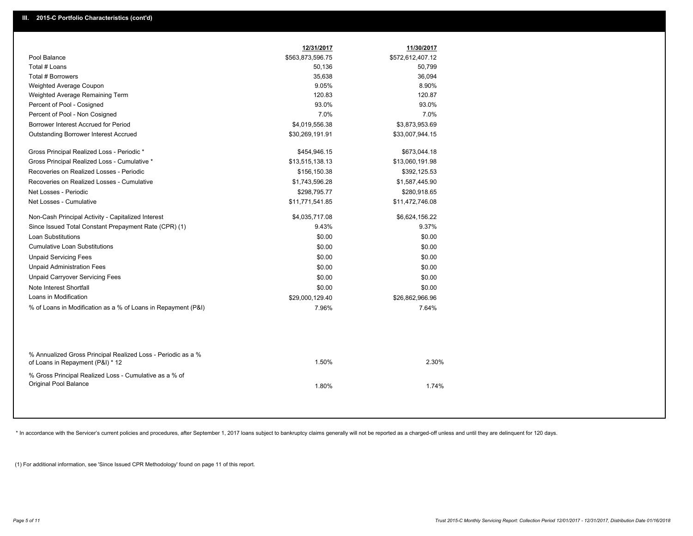|                                                                                                  | 12/31/2017       | 11/30/2017       |  |
|--------------------------------------------------------------------------------------------------|------------------|------------------|--|
| Pool Balance                                                                                     | \$563,873,596.75 | \$572,612,407.12 |  |
| Total # Loans                                                                                    | 50,136           | 50,799           |  |
| <b>Total # Borrowers</b>                                                                         | 35,638           | 36,094           |  |
| Weighted Average Coupon                                                                          | 9.05%            | 8.90%            |  |
| Weighted Average Remaining Term                                                                  | 120.83           | 120.87           |  |
| Percent of Pool - Cosigned                                                                       | 93.0%            | 93.0%            |  |
| Percent of Pool - Non Cosigned                                                                   | 7.0%             | 7.0%             |  |
| Borrower Interest Accrued for Period                                                             | \$4,019,556.38   | \$3,873,953.69   |  |
| <b>Outstanding Borrower Interest Accrued</b>                                                     | \$30,269,191.91  | \$33,007,944.15  |  |
| Gross Principal Realized Loss - Periodic *                                                       | \$454,946.15     | \$673,044.18     |  |
| Gross Principal Realized Loss - Cumulative *                                                     | \$13,515,138.13  | \$13,060,191.98  |  |
| Recoveries on Realized Losses - Periodic                                                         | \$156,150.38     | \$392,125.53     |  |
| Recoveries on Realized Losses - Cumulative                                                       | \$1,743,596.28   | \$1,587,445.90   |  |
| Net Losses - Periodic                                                                            | \$298,795.77     | \$280,918.65     |  |
| Net Losses - Cumulative                                                                          | \$11,771,541.85  | \$11,472,746.08  |  |
| Non-Cash Principal Activity - Capitalized Interest                                               | \$4,035,717.08   | \$6,624,156.22   |  |
| Since Issued Total Constant Prepayment Rate (CPR) (1)                                            | 9.43%            | 9.37%            |  |
| <b>Loan Substitutions</b>                                                                        | \$0.00           | \$0.00           |  |
| <b>Cumulative Loan Substitutions</b>                                                             | \$0.00           | \$0.00           |  |
| <b>Unpaid Servicing Fees</b>                                                                     | \$0.00           | \$0.00           |  |
| <b>Unpaid Administration Fees</b>                                                                | \$0.00           | \$0.00           |  |
| <b>Unpaid Carryover Servicing Fees</b>                                                           | \$0.00           | \$0.00           |  |
| Note Interest Shortfall                                                                          | \$0.00           | \$0.00           |  |
| Loans in Modification                                                                            | \$29,000,129.40  | \$26,862,966.96  |  |
| % of Loans in Modification as a % of Loans in Repayment (P&I)                                    | 7.96%            | 7.64%            |  |
|                                                                                                  |                  |                  |  |
| % Annualized Gross Principal Realized Loss - Periodic as a %<br>of Loans in Repayment (P&I) * 12 | 1.50%            | 2.30%            |  |
| % Gross Principal Realized Loss - Cumulative as a % of                                           |                  |                  |  |
| Original Pool Balance                                                                            | 1.80%            | 1.74%            |  |
|                                                                                                  |                  |                  |  |

\* In accordance with the Servicer's current policies and procedures, after September 1, 2017 loans subject to bankruptcy claims generally will not be reported as a charged-off unless and until they are delinquent for 120 d

(1) For additional information, see 'Since Issued CPR Methodology' found on page 11 of this report.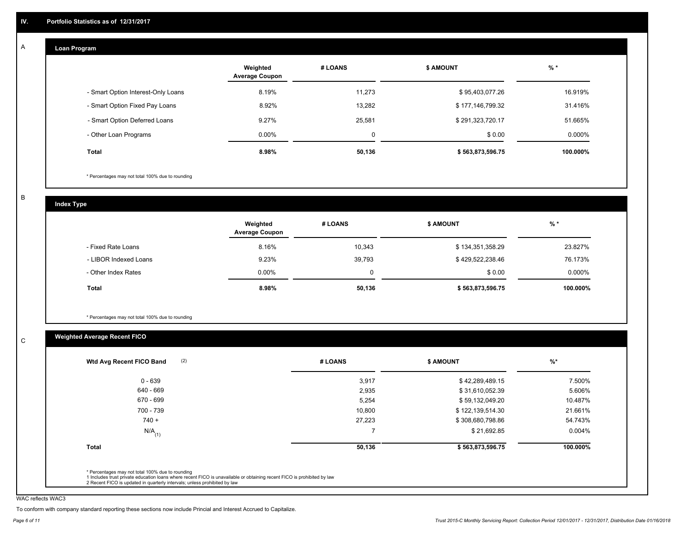#### **Loan Program**  A

|                                    | Weighted<br><b>Average Coupon</b> | # LOANS | <b>\$ AMOUNT</b> | $%$ *     |
|------------------------------------|-----------------------------------|---------|------------------|-----------|
| - Smart Option Interest-Only Loans | 8.19%                             | 11,273  | \$95,403,077.26  | 16.919%   |
| - Smart Option Fixed Pay Loans     | 8.92%                             | 13.282  | \$177,146,799.32 | 31.416%   |
| - Smart Option Deferred Loans      | 9.27%                             | 25,581  | \$291,323,720.17 | 51.665%   |
| - Other Loan Programs              | $0.00\%$                          | 0       | \$0.00           | $0.000\%$ |
| <b>Total</b>                       | 8.98%                             | 50,136  | \$563,873,596.75 | 100.000%  |

\* Percentages may not total 100% due to rounding

B

C

**Index Type**

|                       | Weighted<br><b>Average Coupon</b> | # LOANS | <b>\$ AMOUNT</b> | $%$ *    |
|-----------------------|-----------------------------------|---------|------------------|----------|
| - Fixed Rate Loans    | 8.16%                             | 10,343  | \$134,351,358.29 | 23.827%  |
| - LIBOR Indexed Loans | 9.23%                             | 39,793  | \$429,522,238.46 | 76.173%  |
| - Other Index Rates   | $0.00\%$                          |         | \$0.00           | 0.000%   |
| <b>Total</b>          | 8.98%                             | 50,136  | \$563,873,596.75 | 100.000% |

\* Percentages may not total 100% due to rounding

# **Weighted Average Recent FICO**

| Wtd Avg Recent FICO Band | # LOANS | <b>S AMOUNT</b>  | $%$ *    |
|--------------------------|---------|------------------|----------|
| $0 - 639$                | 3,917   | \$42,289,489.15  | 7.500%   |
| 640 - 669                | 2,935   | \$31,610,052.39  | 5.606%   |
| 670 - 699                | 5,254   | \$59,132,049.20  | 10.487%  |
| 700 - 739                | 10,800  | \$122,139,514.30 | 21.661%  |
| $740 +$                  | 27.223  | \$308,680,798.86 | 54.743%  |
| $N/A$ <sub>(1)</sub>     |         | \$21,692.85      | 0.004%   |
| Total                    | 50,136  | \$563,873,596.75 | 100.000% |

WAC reflects WAC3

To conform with company standard reporting these sections now include Princial and Interest Accrued to Capitalize.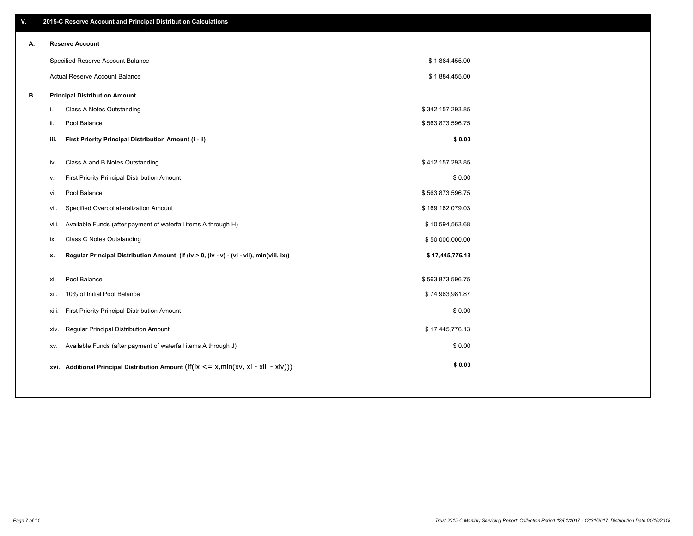| ۷. |     | 2015-C Reserve Account and Principal Distribution Calculations                             |                  |  |
|----|-----|--------------------------------------------------------------------------------------------|------------------|--|
| А. |     | <b>Reserve Account</b>                                                                     |                  |  |
|    |     | Specified Reserve Account Balance                                                          | \$1,884,455.00   |  |
|    |     | Actual Reserve Account Balance                                                             | \$1,884,455.00   |  |
| В. |     | <b>Principal Distribution Amount</b>                                                       |                  |  |
|    | i.  | Class A Notes Outstanding                                                                  | \$342,157,293.85 |  |
|    | ii. | Pool Balance                                                                               | \$563,873,596.75 |  |
|    |     | First Priority Principal Distribution Amount (i - ii)<br>iii.                              | \$0.00           |  |
|    |     |                                                                                            |                  |  |
|    |     | Class A and B Notes Outstanding<br>iv.                                                     | \$412,157,293.85 |  |
|    | v.  | First Priority Principal Distribution Amount                                               | \$0.00           |  |
|    |     | Pool Balance<br>vi.                                                                        | \$563,873,596.75 |  |
|    |     | Specified Overcollateralization Amount<br>vii.                                             | \$169,162,079.03 |  |
|    |     | Available Funds (after payment of waterfall items A through H)<br>viii.                    | \$10,594,563.68  |  |
|    |     | Class C Notes Outstanding<br>ix.                                                           | \$50,000,000.00  |  |
|    | x.  | Regular Principal Distribution Amount (if (iv > 0, (iv - v) - (vi - vii), min(viii, ix))   | \$17,445,776.13  |  |
|    | xi. | Pool Balance                                                                               | \$563,873,596.75 |  |
|    |     | 10% of Initial Pool Balance<br>xii.                                                        | \$74,963,981.87  |  |
|    |     |                                                                                            |                  |  |
|    |     | First Priority Principal Distribution Amount<br>xiii.                                      | \$0.00           |  |
|    |     | Regular Principal Distribution Amount<br>xiv.                                              | \$17,445,776.13  |  |
|    |     | Available Funds (after payment of waterfall items A through J)<br>XV.                      | \$0.00           |  |
|    |     | xvi. Additional Principal Distribution Amount (if(ix $\lt$ = x, min(xv, xi - xiii - xiv))) | \$0.00           |  |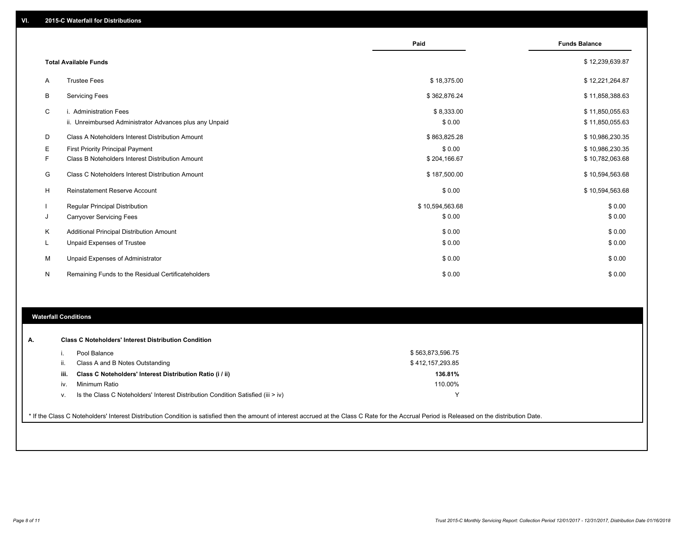|   |                                                         | Paid            | <b>Funds Balance</b> |
|---|---------------------------------------------------------|-----------------|----------------------|
|   |                                                         |                 |                      |
|   | <b>Total Available Funds</b>                            |                 | \$12,239,639.87      |
| A | <b>Trustee Fees</b>                                     | \$18,375.00     | \$12,221,264.87      |
| B | <b>Servicing Fees</b>                                   | \$362,876.24    | \$11,858,388.63      |
| C | i. Administration Fees                                  | \$8,333.00      | \$11,850,055.63      |
|   | ii. Unreimbursed Administrator Advances plus any Unpaid | \$0.00          | \$11,850,055.63      |
| D | Class A Noteholders Interest Distribution Amount        | \$863,825.28    | \$10,986,230.35      |
| Е | <b>First Priority Principal Payment</b>                 | \$0.00          | \$10,986,230.35      |
| F | Class B Noteholders Interest Distribution Amount        | \$204,166.67    | \$10,782,063.68      |
| G | Class C Noteholders Interest Distribution Amount        | \$187,500.00    | \$10,594,563.68      |
| H | Reinstatement Reserve Account                           | \$0.00          | \$10,594,563.68      |
|   | <b>Regular Principal Distribution</b>                   | \$10,594,563.68 | \$0.00               |
| J | <b>Carryover Servicing Fees</b>                         | \$0.00          | \$0.00               |
| Κ | Additional Principal Distribution Amount                | \$0.00          | \$0.00               |
| L | Unpaid Expenses of Trustee                              | \$0.00          | \$0.00               |
| M | Unpaid Expenses of Administrator                        | \$0.00          | \$0.00               |
| N | Remaining Funds to the Residual Certificateholders      | \$0.00          | \$0.00               |

#### **Waterfall Conditions**

| А. |      | <b>Class C Noteholders' Interest Distribution Condition</b>                        |                  |  |
|----|------|------------------------------------------------------------------------------------|------------------|--|
|    |      | Pool Balance                                                                       | \$563,873,596.75 |  |
|    | н.   | Class A and B Notes Outstanding                                                    | \$412,157,293.85 |  |
|    | iii. | Class C Noteholders' Interest Distribution Ratio (i / ii)                          | 136.81%          |  |
|    | IV.  | Minimum Ratio                                                                      | 110.00%          |  |
|    | v.   | Is the Class C Noteholders' Interest Distribution Condition Satisfied (iii $>$ iv) |                  |  |
|    |      |                                                                                    |                  |  |

\* If the Class C Noteholders' Interest Distribution Condition is satisfied then the amount of interest accrued at the Class C Rate for the Accrual Period is Released on the distribution Date.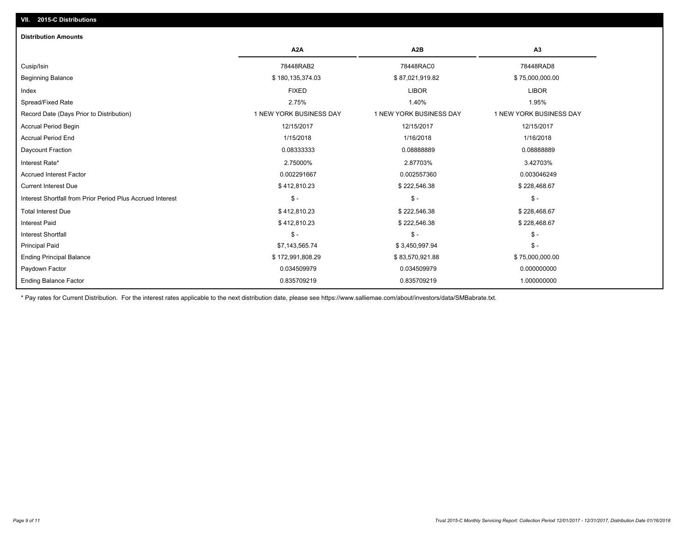## **VII. 2015-C Distributions**

| <b>Distribution Amounts</b>                                |                         |                         |                         |
|------------------------------------------------------------|-------------------------|-------------------------|-------------------------|
|                                                            | A <sub>2</sub> A        | A <sub>2</sub> B        | A <sub>3</sub>          |
| Cusip/Isin                                                 | 78448RAB2               | 78448RAC0               | 78448RAD8               |
| <b>Beginning Balance</b>                                   | \$180,135,374.03        | \$87,021,919.82         | \$75,000,000.00         |
| Index                                                      | <b>FIXED</b>            | <b>LIBOR</b>            | <b>LIBOR</b>            |
| Spread/Fixed Rate                                          | 2.75%                   | 1.40%                   | 1.95%                   |
| Record Date (Days Prior to Distribution)                   | 1 NEW YORK BUSINESS DAY | 1 NEW YORK BUSINESS DAY | 1 NEW YORK BUSINESS DAY |
| <b>Accrual Period Begin</b>                                | 12/15/2017              | 12/15/2017              | 12/15/2017              |
| Accrual Period End                                         | 1/15/2018               | 1/16/2018               | 1/16/2018               |
| Daycount Fraction                                          | 0.08333333              | 0.08888889              | 0.08888889              |
| Interest Rate*                                             | 2.75000%                | 2.87703%                | 3.42703%                |
| <b>Accrued Interest Factor</b>                             | 0.002291667             | 0.002557360             | 0.003046249             |
| <b>Current Interest Due</b>                                | \$412,810.23            | \$222,546.38            | \$228,468.67            |
| Interest Shortfall from Prior Period Plus Accrued Interest | $\mathsf{\$}$ -         | $\mathcal{S}$ -         | $\frac{2}{3}$ -         |
| <b>Total Interest Due</b>                                  | \$412,810.23            | \$222,546.38            | \$228,468.67            |
| <b>Interest Paid</b>                                       | \$412,810.23            | \$222,546.38            | \$228,468.67            |
| <b>Interest Shortfall</b>                                  | $\mathsf{\$}$ -         | $\frac{1}{2}$           | $$ -$                   |
| <b>Principal Paid</b>                                      | \$7,143,565.74          | \$3,450,997.94          | $S -$                   |
| <b>Ending Principal Balance</b>                            | \$172,991,808.29        | \$83,570,921.88         | \$75,000,000.00         |
| Paydown Factor                                             | 0.034509979             | 0.034509979             | 0.000000000             |
| <b>Ending Balance Factor</b>                               | 0.835709219             | 0.835709219             | 1.000000000             |

\* Pay rates for Current Distribution. For the interest rates applicable to the next distribution date, please see https://www.salliemae.com/about/investors/data/SMBabrate.txt.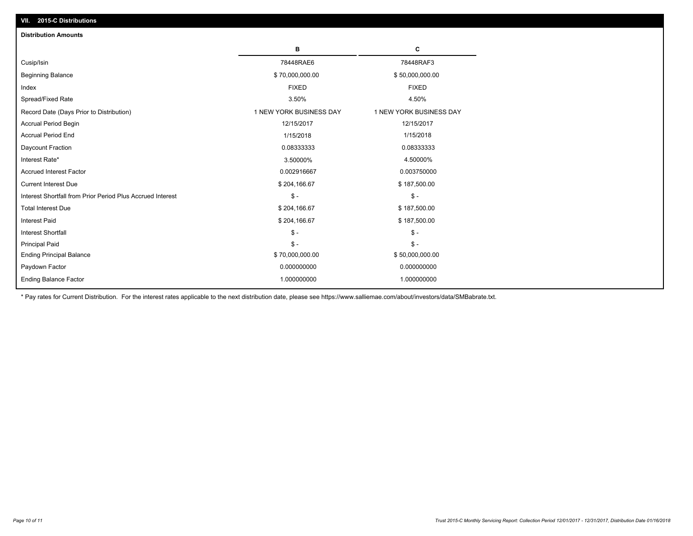| <b>Distribution Amounts</b>                                |                         |                         |
|------------------------------------------------------------|-------------------------|-------------------------|
|                                                            | в                       | С                       |
| Cusip/Isin                                                 | 78448RAE6               | 78448RAF3               |
| <b>Beginning Balance</b>                                   | \$70,000,000.00         | \$50,000,000.00         |
| Index                                                      | <b>FIXED</b>            | <b>FIXED</b>            |
| Spread/Fixed Rate                                          | 3.50%                   | 4.50%                   |
| Record Date (Days Prior to Distribution)                   | 1 NEW YORK BUSINESS DAY | 1 NEW YORK BUSINESS DAY |
| <b>Accrual Period Begin</b>                                | 12/15/2017              | 12/15/2017              |
| <b>Accrual Period End</b>                                  | 1/15/2018               | 1/15/2018               |
| Daycount Fraction                                          | 0.08333333              | 0.08333333              |
| Interest Rate*                                             | 3.50000%                | 4.50000%                |
| <b>Accrued Interest Factor</b>                             | 0.002916667             | 0.003750000             |
| <b>Current Interest Due</b>                                | \$204,166.67            | \$187,500.00            |
| Interest Shortfall from Prior Period Plus Accrued Interest | $\mathsf{\$}$ -         | $$ -$                   |
| <b>Total Interest Due</b>                                  | \$204,166.67            | \$187,500.00            |
| <b>Interest Paid</b>                                       | \$204,166.67            | \$187,500.00            |
| <b>Interest Shortfall</b>                                  | $\mathsf{\$}$ -         | $$ -$                   |
| <b>Principal Paid</b>                                      | $\mathbb{S}$ –          | $S -$                   |
| <b>Ending Principal Balance</b>                            | \$70,000,000.00         | \$50,000,000.00         |
| Paydown Factor                                             | 0.000000000             | 0.000000000             |
| <b>Ending Balance Factor</b>                               | 1.000000000             | 1.000000000             |

\* Pay rates for Current Distribution. For the interest rates applicable to the next distribution date, please see https://www.salliemae.com/about/investors/data/SMBabrate.txt.

**VII. 2015-C Distributions**